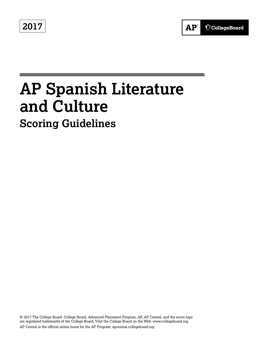**2017**



# **AP Spanish Literature and Culture Scoring Guidelines**

© 2017 The College Board. College Board, Advanced Placement Program, AP, AP Central, and the acorn logo are registered trademarks of the College Board. Visit the College Board on the Web: www.collegeboard.org. AP Central is the official online home for the AP Program: apcentral.collegeboard.org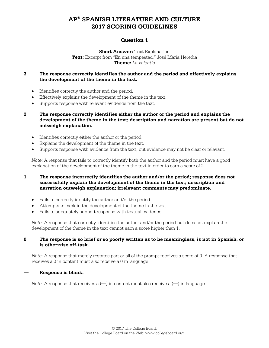### **Question 1**

**Short Answer: Text Explanation Text:** Excerpt from "En una tempestad*,*" José María Heredia **Theme:** *La valentía*

### **3 The response correctly identifies the author and the period and effectively explains the development of the theme in the text.**

- Identifies correctly the author and the period.
- Effectively explains the development of the theme in the text.
- Supports response with relevant evidence from the text.
- **2 The response correctly identifies either the author or the period and explains the development of the theme in the text; description and narration are present but do not outweigh explanation.**
	- Identifies correctly either the author or the period.
	- Explains the development of the theme in the text.
	- Supports response with evidence from the text, but evidence may not be clear or relevant.

*Note*: A response that fails to correctly identify both the author and the period must have a good explanation of the development of the theme in the text in order to earn a score of 2.

### **1 The response incorrectly identifies the author and/or the period; response does not successfully explain the development of the theme in the text; description and narration outweigh explanation; irrelevant comments may predominate.**

- Fails to correctly identify the author and/or the period.
- Attempts to explain the development of the theme in the text.
- Fails to adequately support response with textual evidence.

*Note*: A response that correctly identifies the author and/or the period but does not explain the development of the theme in the text cannot earn a score higher than 1.

#### **0 The response is so brief or so poorly written as to be meaningless, is not in Spanish, or is otherwise off-task.**

*Note*: A response that merely restates part or all of the prompt receives a score of 0. A response that receives a 0 in content must also receive a 0 in language.

#### **— Response is blank.**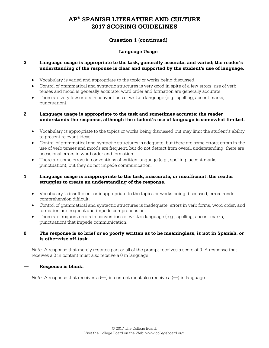### **Question 1 (continued)**

### **Language Usage**

### **3 Language usage is appropriate to the task, generally accurate, and varied; the reader's understanding of the response is clear and supported by the student's use of language.**

- Vocabulary is varied and appropriate to the topic or works being discussed.
- Control of grammatical and syntactic structures is very good in spite of a few errors; use of verb tenses and mood is generally accurate; word order and formation are generally accurate.
- There are very few errors in conventions of written language (e.g., spelling, accent marks, punctuation).

### **2 Language usage is appropriate to the task and sometimes accurate; the reader understands the response, although the student's use of language is somewhat limited.**

- Vocabulary is appropriate to the topics or works being discussed but may limit the student's ability to present relevant ideas.
- Control of grammatical and syntactic structures is adequate, but there are some errors; errors in the use of verb tenses and moods are frequent, but do not detract from overall understanding; there are occasional errors in word order and formation.
- There are some errors in conventions of written language (e.g., spelling, accent marks, punctuation), but they do not impede communication.

### **1 Language usage is inappropriate to the task, inaccurate, or insufficient; the reader struggles to create an understanding of the response.**

- Vocabulary is insufficient or inappropriate to the topics or works being discussed; errors render comprehension difficult.
- Control of grammatical and syntactic structures is inadequate; errors in verb forms, word order, and formation are frequent and impede comprehension.
- There are frequent errors in conventions of written language (e.g., spelling, accent marks, punctuation) that impede communication.

### **0 The response is so brief or so poorly written as to be meaningless, is not in Spanish, or is otherwise off-task.**

*Note*: A response that merely restates part or all of the prompt receives a score of 0. A response that receives a 0 in content must also receive a 0 in language.

#### **— Response is blank.**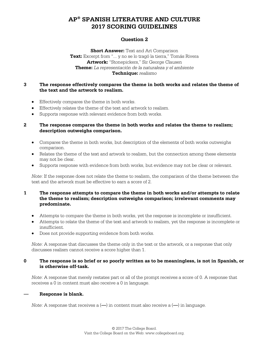### **Question 2**

**Short Answer:** Text and Art Comparison **Text:** Excerpt from "... y no se lo tragó la tierra," Tomás Rivera **Artwork:** "Stonepickers," Sir George Clausen **Theme:** *La representación de la naturaleza y el ambiente* **Technique:** *realismo*

### **3 The response effectively compares the theme in both works and relates the theme of the text and the artwork to realism.**

- Effectively compares the theme in both works.
- Effectively relates the theme of the text and artwork to realism.
- Supports response with relevant evidence from both works.

### **2 The response compares the theme in both works and relates the theme to realism; description outweighs comparison.**

- Compares the theme in both works, but description of the elements of both works outweighs comparison.
- Relates the theme of the text and artwork to realism, but the connection among these elements may not be clear.
- Supports response with evidence from both works, but evidence may not be clear or relevant.

*Note*: If the response does not relate the theme to realism, the comparison of the theme between the text and the artwork must be effective to earn a score of 2.

### **1 The response attempts to compare the theme in both works and/or attempts to relate the theme to realism; description outweighs comparison; irrelevant comments may predominate.**

- Attempts to compare the theme in both works, yet the response is incomplete or insufficient.
- Attempts to relate the theme of the text and artwork to realism, yet the response is incomplete or insufficient.
- Does not provide supporting evidence from both works.

*Note*: A response that discusses the theme only in the text or the artwork, or a response that only discusses realism cannot receive a score higher than 1.

### **0 The response is so brief or so poorly written as to be meaningless, is not in Spanish, or is otherwise off-task.**

*Note*: A response that merely restates part or all of the prompt receives a score of 0. A response that receives a 0 in content must also receive a 0 in language.

#### **— Response is blank.**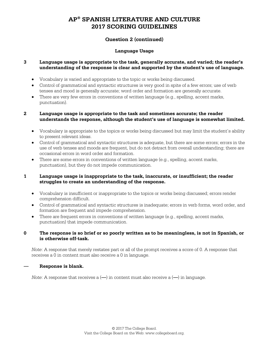### **Question 2 (continued)**

### **Language Usage**

### **3 Language usage is appropriate to the task, generally accurate, and varied; the reader's understanding of the response is clear and supported by the student's use of language.**

- Vocabulary is varied and appropriate to the topic or works being discussed.
- Control of grammatical and syntactic structures is very good in spite of a few errors; use of verb tenses and mood is generally accurate; word order and formation are generally accurate.
- There are very few errors in conventions of written language (e.g., spelling, accent marks, punctuation).

### **2 Language usage is appropriate to the task and sometimes accurate; the reader understands the response, although the student's use of language is somewhat limited.**

- Vocabulary is appropriate to the topics or works being discussed but may limit the student's ability to present relevant ideas.
- Control of grammatical and syntactic structures is adequate, but there are some errors; errors in the use of verb tenses and moods are frequent, but do not detract from overall understanding; there are occasional errors in word order and formation.
- There are some errors in conventions of written language (e.g., spelling, accent marks, punctuation), but they do not impede communication.

### **1 Language usage is inappropriate to the task, inaccurate, or insufficient; the reader struggles to create an understanding of the response.**

- Vocabulary is insufficient or inappropriate to the topics or works being discussed; errors render comprehension difficult.
- Control of grammatical and syntactic structures is inadequate; errors in verb forms, word order, and formation are frequent and impede comprehension.
- There are frequent errors in conventions of written language (e.g., spelling, accent marks, punctuation) that impede communication.

### **0 The response is so brief or so poorly written as to be meaningless, is not in Spanish, or is otherwise off-task.**

*Note*: A response that merely restates part or all of the prompt receives a score of 0. A response that receives a 0 in content must also receive a 0 in language.

#### **— Response is blank.**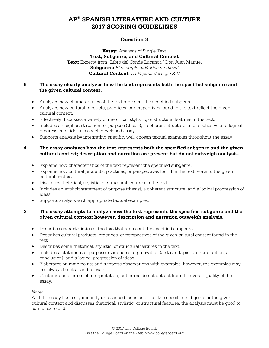### **Question 3**

**Essay:** Analysis of Single Text **Text, Subgenre, and Cultural Context Text:** Excerpt from "Libro del Conde Lucanor," Don Juan Manuel **Subgenre:** *El exemplo didáctico medieval* **Cultural Context:** *La España del siglo XIV*

### **5 The essay clearly analyzes how the text represents both the specified subgenre and the given cultural context.**

- Analyzes how characteristics of the text represent the specified subgenre.
- Analyzes how cultural products, practices, or perspectives found in the text reflect the given cultural context.
- Effectively discusses a variety of rhetorical, stylistic, or structural features in the text.
- Includes an explicit statement of purpose (thesis), a coherent structure, and a cohesive and logical progression of ideas in a well-developed essay.
- Supports analysis by integrating specific, well-chosen textual examples throughout the essay.

### **4 The essay analyzes how the text represents both the specified subgenre and the given cultural context; description and narration are present but do not outweigh analysis.**

- Explains how characteristics of the text represent the specified subgenre.
- Explains how cultural products, practices, or perspectives found in the text relate to the given cultural context.
- Discusses rhetorical, stylistic, or structural features in the text.
- Includes an explicit statement of purpose (thesis), a coherent structure, and a logical progression of ideas.
- Supports analysis with appropriate textual examples.

### **3 The essay attempts to analyze how the text represents the specified subgenre and the given cultural context; however, description and narration outweigh analysis.**

- Describes characteristics of the text that represent the specified subgenre.
- Describes cultural products, practices, or perspectives of the given cultural context found in the text.
- Describes some rhetorical, stylistic, or structural features in the text.
- Includes a statement of purpose, evidence of organization (a stated topic, an introduction, a conclusion), and a logical progression of ideas.
- Elaborates on main points and supports observations with examples; however, the examples may not always be clear and relevant.
- Contains some errors of interpretation, but errors do not detract from the overall quality of the essay.

#### *Note:*

A. If the essay has a significantly unbalanced focus on either the specified subgenre or the given cultural context and discusses rhetorical, stylistic, or structural features, the analysis must be good to earn a score of 3.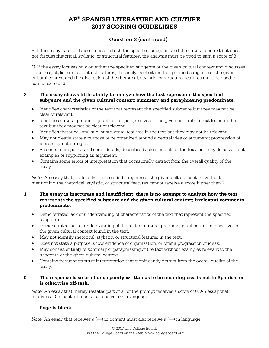### **Question 3 (continued)**

B. If the essay has a balanced focus on both the specified subgenre and the cultural context but does not discuss rhetorical, stylistic, or structural features, the analysis must be good to earn a score of 3.

C. If the essay focuses only on either the specified subgenre or the given cultural context and discusses rhetorical, stylistic, or structural features, the analysis of either the specified subgenre or the given cultural context and the discussion of the rhetorical, stylistic, or structural features must be good to earn a score of 3.

### **2 The essay shows little ability to analyze how the text represents the specified subgenre and the given cultural context; summary and paraphrasing predominate.**

- Identifies characteristics of the text that represent the specified subgenre but they may not be clear or relevant.
- Identifies cultural products, practices, or perspectives of the given cultural context found in the text but they may not be clear or relevant.
- Identifies rhetorical, stylistic, or structural features in the text but they may not be relevant.
- May not clearly state a purpose or be organized around a central idea or argument; progression of ideas may not be logical.
- Presents main points and some details, describes basic elements of the text, but may do so without examples or supporting an argument.
- Contains some errors of interpretation that occasionally detract from the overall quality of the essay.

*Note*: An essay that treats only the specified subgenre or the given cultural context without mentioning the rhetorical, stylistic, or structural features cannot receive a score higher than 2.

### **1 The essay is inaccurate and insufficient; there is no attempt to analyze how the text represents the specified subgenre and the given cultural context; irrelevant comments predominate.**

- Demonstrates lack of understanding of characteristics of the text that represent the specified subgenre.
- Demonstrates lack of understanding of the text, or cultural products, practices, or perspectives of the given cultural context found in the text.
- May not identify rhetorical, stylistic, or structural features in the text.
- Does not state a purpose, show evidence of organization, or offer a progression of ideas.
- May consist entirely of summary or paraphrasing of the text without examples relevant to the subgenre or the given cultural context.
- Contains frequent errors of interpretation that significantly detract from the overall quality of the essay.

#### **0 The response is so brief or so poorly written as to be meaningless, is not in Spanish, or is otherwise off-task.**

*Note*: An essay that merely restates part or all of the prompt receives a score of 0. An essay that receives a 0 in content must also receive a 0 in language.

### **— Page is blank.**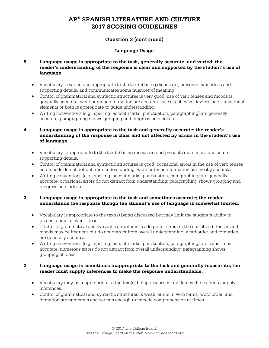### **Question 3 (continued)**

### **Language Usage**

- **5 Language usage is appropriate to the task, generally accurate, and varied; the reader's understanding of the response is clear and supported by the student's use of language.**
	- Vocabulary is varied and appropriate to the text(s) being discussed, presents main ideas and supporting details, and communicates some nuances of meaning.
	- Control of grammatical and syntactic structures is very good; use of verb tenses and moods is generally accurate; word order and formation are accurate; use of cohesive devices and transitional elements or both is appropriate to guide understanding.
	- Writing conventions (e.g., spelling, accent marks, punctuation, paragraphing) are generally accurate; paragraphing shows grouping and progression of ideas.
- **4 Language usage is appropriate to the task and generally accurate; the reader's understanding of the response is clear and not affected by errors in the student's use of language.**
	- Vocabulary is appropriate to the text(s) being discussed and presents main ideas and some supporting details.
	- Control of grammatical and syntactic structures is good; occasional errors in the use of verb tenses and moods do not detract from understanding; word order and formation are mostly accurate.
	- Writing conventions (e.g., spelling, accent marks, punctuation, paragraphing) are generally accurate; occasional errors do not detract from understanding; paragraphing shows grouping and progression of ideas.

### **3 Language usage is appropriate to the task and sometimes accurate; the reader understands the response though the student's use of language is somewhat limited.**

- Vocabulary is appropriate to the text(s) being discussed but may limit the student's ability to present some relevant ideas.
- Control of grammatical and syntactic structures is adequate; errors in the use of verb tenses and moods may be frequent but do not detract from overall understanding; word order and formation are generally accurate.
- Writing conventions (e.g., spelling, accent marks, punctuation, paragraphing) are sometimes accurate; numerous errors do not detract from overall understanding; paragraphing shows grouping of ideas.

### **2 Language usage is sometimes inappropriate to the task and generally inaccurate; the reader must supply inferences to make the response understandable.**

- Vocabulary may be inappropriate to the text(s) being discussed and forces the reader to supply inferences.
- Control of grammatical and syntactic structures is weak; errors in verb forms, word order, and formation are numerous and serious enough to impede comprehension at times.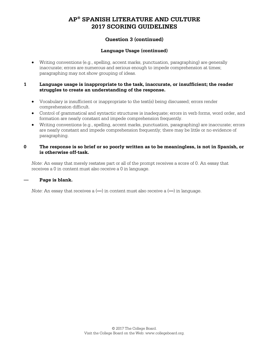### **Question 3 (continued)**

### **Language Usage (continued)**

• Writing conventions (e.g., spelling, accent marks, punctuation, paragraphing) are generally inaccurate; errors are numerous and serious enough to impede comprehension at times; paragraphing may not show grouping of ideas.

#### **1 Language usage is inappropriate to the task, inaccurate, or insufficient; the reader struggles to create an understanding of the response.**

- Vocabulary is insufficient or inappropriate to the text(s) being discussed; errors render comprehension difficult.
- Control of grammatical and syntactic structures is inadequate; errors in verb forms, word order, and formation are nearly constant and impede comprehension frequently.
- Writing conventions (e.g., spelling, accent marks, punctuation, paragraphing) are inaccurate; errors are nearly constant and impede comprehension frequently; there may be little or no evidence of paragraphing.

### **0 The response is so brief or so poorly written as to be meaningless, is not in Spanish, or is otherwise off-task.**

*Note*: An essay that merely restates part or all of the prompt receives a score of 0. An essay that receives a 0 in content must also receive a 0 in language.

#### **— Page is blank.**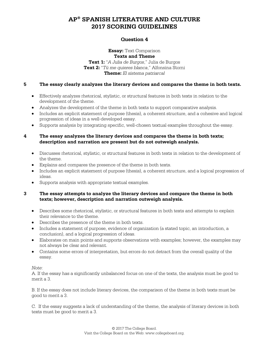### **Question 4**

**Essay:** Text Comparison

**Texts and Theme Text 1:** "*A Julia de Burgos*," Julia de Burgos **Text 2:** "*Tú me quieres blanca*," Alfonsina Storni **Theme:** *El sistema patriarcal*

### **5 The essay clearly analyzes the literary devices and compares the theme in both texts.**

- Effectively analyzes rhetorical, stylistic, or structural features in both texts in relation to the development of the theme.
- Analyzes the development of the theme in both texts to support comparative analysis.
- Includes an explicit statement of purpose (thesis), a coherent structure, and a cohesive and logical progression of ideas in a well-developed essay.
- Supports analysis by integrating specific, well-chosen textual examples throughout the essay.

### **4 The essay analyzes the literary devices and compares the theme in both texts; description and narration are present but do not outweigh analysis.**

- Discusses rhetorical, stylistic, or structural features in both texts in relation to the development of the theme.
- Explains and compares the presence of the theme in both texts.
- Includes an explicit statement of purpose (thesis), a coherent structure, and a logical progression of ideas.
- Supports analysis with appropriate textual examples.

### **3 The essay attempts to analyze the literary devices and compare the theme in both texts; however, description and narration outweigh analysis.**

- Describes some rhetorical, stylistic, or structural features in both texts and attempts to explain their relevance to the theme.
- Describes the presence of the theme in both texts.
- Includes a statement of purpose, evidence of organization (a stated topic, an introduction, a conclusion), and a logical progression of ideas.
- Elaborates on main points and supports observations with examples; however, the examples may not always be clear and relevant.
- Contains some errors of interpretation, but errors do not detract from the overall quality of the essay.

*Note*:

A. If the essay has a significantly unbalanced focus on one of the texts, the analysis must be good to merit a 3.

B. If the essay does not include literary devices, the comparison of the theme in both texts must be good to merit a 3.

C. If the essay suggests a lack of understanding of the theme, the analysis of literary devices in both texts must be good to merit a 3.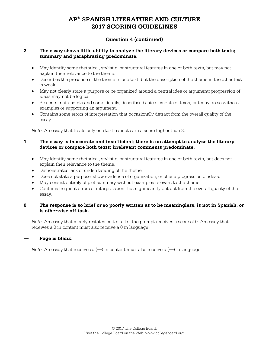### **Question 4 (continued)**

### **2 The essay shows little ability to analyze the literary devices or compare both texts; summary and paraphrasing predominate.**

- May identify some rhetorical, stylistic, or structural features in one or both texts, but may not explain their relevance to the theme.
- Describes the presence of the theme in one text, but the description of the theme in the other text is weak.
- May not clearly state a purpose or be organized around a central idea or argument; progression of ideas may not be logical.
- Presents main points and some details, describes basic elements of texts, but may do so without examples or supporting an argument.
- Contains some errors of interpretation that occasionally detract from the overall quality of the essay.

*Note*: An essay that treats only one text cannot earn a score higher than 2.

### **1 The essay is inaccurate and insufficient; there is no attempt to analyze the literary devices or compare both texts; irrelevant comments predominate.**

- May identify some rhetorical, stylistic, or structural features in one or both texts, but does not explain their relevance to the theme.
- Demonstrates lack of understanding of the theme.
- Does not state a purpose, show evidence of organization, or offer a progression of ideas.
- May consist entirely of plot summary without examples relevant to the theme.
- Contains frequent errors of interpretation that significantly detract from the overall quality of the essay.

### **0 The response is so brief or so poorly written as to be meaningless, is not in Spanish, or is otherwise off-task.**

*Note*: An essay that merely restates part or all of the prompt receives a score of 0. An essay that receives a 0 in content must also receive a 0 in language.

### **— Page is blank.**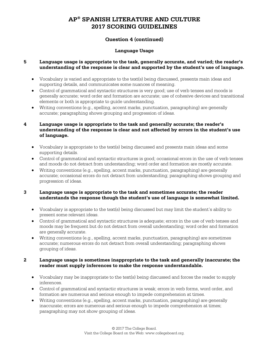### **Question 4 (continued)**

### **Language Usage**

### **5 Language usage is appropriate to the task, generally accurate, and varied; the reader's understanding of the response is clear and supported by the student's use of language.**

- Vocabulary is varied and appropriate to the text(s) being discussed, presents main ideas and supporting details, and communicates some nuances of meaning.
- Control of grammatical and syntactic structures is very good; use of verb tenses and moods is generally accurate; word order and formation are accurate; use of cohesive devices and transitional elements or both is appropriate to guide understanding.
- Writing conventions (e.g., spelling, accent marks, punctuation, paragraphing) are generally accurate; paragraphing shows grouping and progression of ideas.

### **4 Language usage is appropriate to the task and generally accurate; the reader's understanding of the response is clear and not affected by errors in the student's use of language.**

- Vocabulary is appropriate to the text(s) being discussed and presents main ideas and some supporting details.
- Control of grammatical and syntactic structures is good; occasional errors in the use of verb tenses and moods do not detract from understanding; word order and formation are mostly accurate.
- Writing conventions (e.g., spelling, accent marks, punctuation, paragraphing) are generally accurate; occasional errors do not detract from understanding; paragraphing shows grouping and progression of ideas.

### **3 Language usage is appropriate to the task and sometimes accurate; the reader understands the response though the student's use of language is somewhat limited.**

- Vocabulary is appropriate to the text(s) being discussed but may limit the student's ability to present some relevant ideas.
- Control of grammatical and syntactic structures is adequate; errors in the use of verb tenses and moods may be frequent but do not detract from overall understanding; word order and formation are generally accurate.
- Writing conventions (e.g., spelling, accent marks, punctuation, paragraphing) are sometimes accurate; numerous errors do not detract from overall understanding; paragraphing shows grouping of ideas.

### **2 Language usage is sometimes inappropriate to the task and generally inaccurate; the reader must supply inferences to make the response understandable.**

- Vocabulary may be inappropriate to the text(s) being discussed and forces the reader to supply inferences.
- Control of grammatical and syntactic structures is weak; errors in verb forms, word order, and formation are numerous and serious enough to impede comprehension at times.
- Writing conventions (e.g., spelling, accent marks, punctuation, paragraphing) are generally inaccurate; errors are numerous and serious enough to impede comprehension at times; paragraphing may not show grouping of ideas.